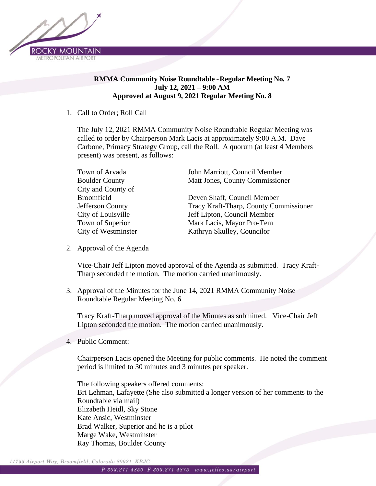

## **RMMA Community Noise Roundtable** – **Regular Meeting No. 7 July 12, 2021 – 9:00 AM Approved at August 9, 2021 Regular Meeting No. 8**

## 1. Call to Order; Roll Call

The July 12, 2021 RMMA Community Noise Roundtable Regular Meeting was called to order by Chairperson Mark Lacis at approximately 9:00 A.M. Dave Carbone, Primacy Strategy Group, call the Roll. A quorum (at least 4 Members present) was present, as follows:

| Town of Arvada        | John Marriott, Council Member          |
|-----------------------|----------------------------------------|
| <b>Boulder County</b> | Matt Jones, County Commissioner        |
| City and County of    |                                        |
| <b>Broomfield</b>     | Deven Shaff, Council Member            |
| Jefferson County      | Tracy Kraft-Tharp, County Commissioner |
| City of Louisville    | Jeff Lipton, Council Member            |
| Town of Superior      | Mark Lacis, Mayor Pro-Tem              |
| City of Westminster   | Kathryn Skulley, Councilor             |

2. Approval of the Agenda

Vice-Chair Jeff Lipton moved approval of the Agenda as submitted. Tracy Kraft-Tharp seconded the motion. The motion carried unanimously.

3. Approval of the Minutes for the June 14, 2021 RMMA Community Noise Roundtable Regular Meeting No. 6

Tracy Kraft-Tharp moved approval of the Minutes as submitted. Vice-Chair Jeff Lipton seconded the motion. The motion carried unanimously.

4. Public Comment:

Chairperson Lacis opened the Meeting for public comments. He noted the comment period is limited to 30 minutes and 3 minutes per speaker.

The following speakers offered comments: Bri Lehman, Lafayette (She also submitted a longer version of her comments to the Roundtable via mail) Elizabeth Heidl, Sky Stone Kate Ansic, Westminster Brad Walker, Superior and he is a pilot Marge Wake, Westminster Ray Thomas, Boulder County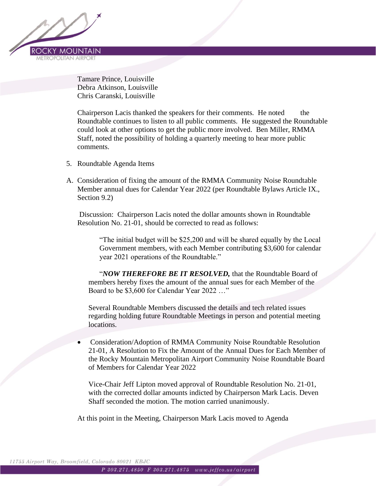

Tamare Prince, Louisville Debra Atkinson, Louisville Chris Caranski, Louisville

Chairperson Lacis thanked the speakers for their comments. He noted the Roundtable continues to listen to all public comments. He suggested the Roundtable could look at other options to get the public more involved. Ben Miller, RMMA Staff, noted the possibility of holding a quarterly meeting to hear more public comments.

- 5. Roundtable Agenda Items
- A. Consideration of fixing the amount of the RMMA Community Noise Roundtable Member annual dues for Calendar Year 2022 (per Roundtable Bylaws Article IX., Section 9.2)

Discussion: Chairperson Lacis noted the dollar amounts shown in Roundtable Resolution No. 21-01, should be corrected to read as follows:

"The initial budget will be \$25,200 and will be shared equally by the Local Government members, with each Member contributing \$3,600 for calendar year 2021 operations of the Roundtable."

"*NOW THEREFORE BE IT RESOLVED,* that the Roundtable Board of members hereby fixes the amount of the annual sues for each Member of the Board to be \$3,600 for Calendar Year 2022 …"

Several Roundtable Members discussed the details and tech related issues regarding holding future Roundtable Meetings in person and potential meeting locations.

• Consideration/Adoption of RMMA Community Noise Roundtable Resolution 21-01, A Resolution to Fix the Amount of the Annual Dues for Each Member of the Rocky Mountain Metropolitan Airport Community Noise Roundtable Board of Members for Calendar Year 2022

Vice-Chair Jeff Lipton moved approval of Roundtable Resolution No. 21-01, with the corrected dollar amounts indicted by Chairperson Mark Lacis. Deven Shaff seconded the motion. The motion carried unanimously.

At this point in the Meeting, Chairperson Mark Lacis moved to Agenda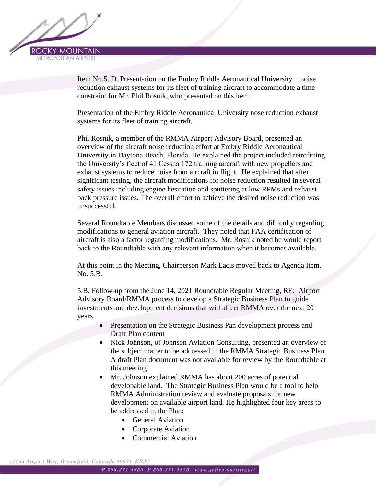

Item No.5. D. Presentation on the Embry Riddle Aeronautical University noise reduction exhaust systems for its fleet of training aircraft to accommodate a time constraint for Mr. Phil Rosnik, who presented on this item.

Presentation of the Embry Riddle Aeronautical University nose reduction exhaust systems for its fleet of training aircraft.

Phil Rosnik, a member of the RMMA Airport Advisory Board, presented an overview of the aircraft noise reduction effort at Embry Riddle Aeronautical University in Daytona Beach, Florida. He explained the project included retrofitting the University's fleet of 41 Cessna 172 training aircraft with new propellers and exhaust systems to reduce noise from aircraft in flight. He explained that after significant testing, the aircraft modifications for noise reduction resulted in several safety issues including engine hesitation and sputtering at low RPMs and exhaust back pressure issues. The overall effort to achieve the desired noise reduction was unsuccessful.

Several Roundtable Members discussed some of the details and difficulty regarding modifications to general aviation aircraft. They noted that FAA certification of aircraft is also a factor regarding modifications. Mr. Rosnik noted he would report back to the Roundtable with any relevant information when it becomes available.

At this point in the Meeting, Chairperson Mark Lacis moved back to Agenda Item. No. 5.B.

5.B. Follow-up from the June 14, 2021 Roundtable Regular Meeting, RE: Airport Advisory Board/RMMA process to develop a Strategic Business Plan to guide investments and development decisions that will affect RMMA over the next 20 years.

- Presentation on the Strategic Business Pan development process and Draft Plan content
- Nick Johnson, of Johnson Aviation Consulting, presented an overview of the subject matter to be addressed in the RMMA Strategic Business Plan. A draft Plan document was not available for review by the Roundtable at this meeting
- Mr. Johnson explained RMMA has about 200 acres of potential developable land. The Strategic Business Plan would be a tool to help RMMA Administration review and evaluate proposals for new development on available airport land. He highlighted four key areas to be addressed in the Plan:
	- General Aviation
	- Corporate Aviation
	- Commercial Aviation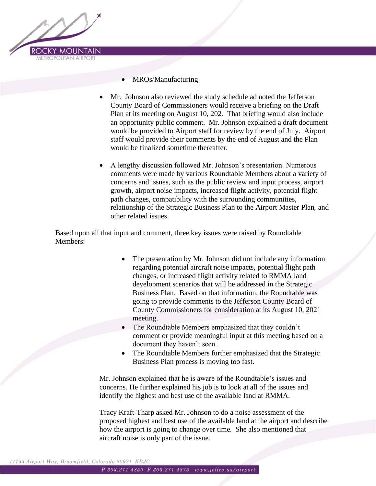

- MROs/Manufacturing
- Mr. Johnson also reviewed the study schedule ad noted the Jefferson County Board of Commissioners would receive a briefing on the Draft Plan at its meeting on August 10, 202. That briefing would also include an opportunity public comment. Mr. Johnson explained a draft document would be provided to Airport staff for review by the end of July. Airport staff would provide their comments by the end of August and the Plan would be finalized sometime thereafter.
- A lengthy discussion followed Mr. Johnson's presentation. Numerous comments were made by various Roundtable Members about a variety of concerns and issues, such as the public review and input process, airport growth, airport noise impacts, increased flight activity, potential flight path changes, compatibility with the surrounding communities, relationship of the Strategic Business Plan to the Airport Master Plan, and other related issues.

Based upon all that input and comment, three key issues were raised by Roundtable Members:

- The presentation by Mr. Johnson did not include any information regarding potential aircraft noise impacts, potential flight path changes, or increased flight activity related to RMMA land development scenarios that will be addressed in the Strategic Business Plan. Based on that information, the Roundtable was going to provide comments to the Jefferson County Board of County Commissioners for consideration at its August 10, 2021 meeting.
- The Roundtable Members emphasized that they couldn't comment or provide meaningful input at this meeting based on a document they haven't seen.
- The Roundtable Members further emphasized that the Strategic Business Plan process is moving too fast.

Mr. Johnson explained that he is aware of the Roundtable's issues and concerns. He further explained his job is to look at all of the issues and identify the highest and best use of the available land at RMMA.

Tracy Kraft-Tharp asked Mr. Johnson to do a noise assessment of the proposed highest and best use of the available land at the airport and describe how the airport is going to change over time. She also mentioned that aircraft noise is only part of the issue.